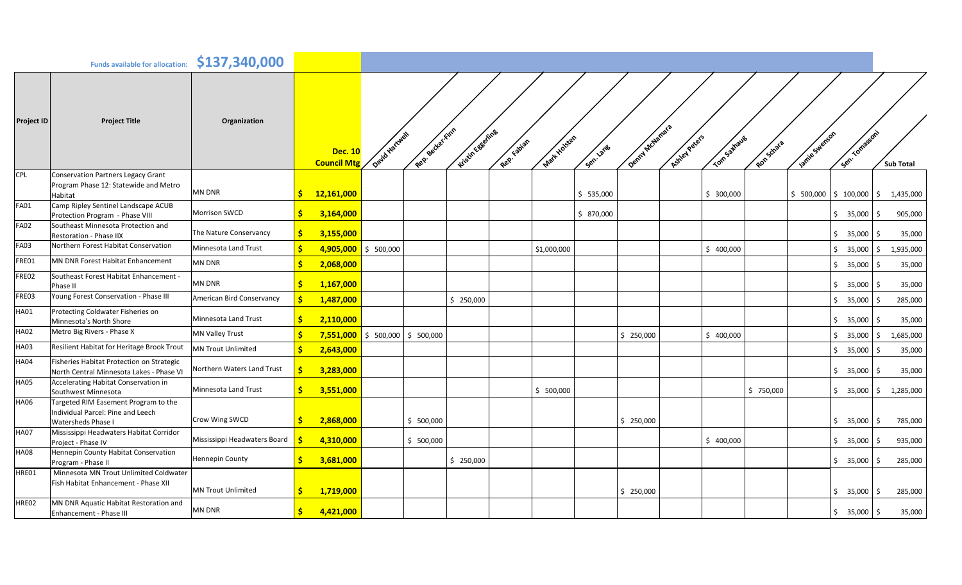|                   | <b>Funds available for allocation:</b>                                                          | \$137,340,000                |                                      |                        |                                      |            |                          |                |                             |           |                                |                    |
|-------------------|-------------------------------------------------------------------------------------------------|------------------------------|--------------------------------------|------------------------|--------------------------------------|------------|--------------------------|----------------|-----------------------------|-----------|--------------------------------|--------------------|
| <b>Project ID</b> | <b>Project Title</b>                                                                            | Organization                 | <b>Dec. 10</b><br><b>Council Mtg</b> | Oaid Harcuel           | Regi Becker Finn<br>Kristin Eggeling | Rep Eatier | Mart Holsten<br>Sen. ane | Denmy McLemars | Ashey Peters<br>Tom-samayes | Ronsdrata | Sen Tomasson'<br>James Swereon | <b>Sub Total</b>   |
| <b>CPL</b>        | <b>Conservation Partners Legacy Grant</b><br>Program Phase 12: Statewide and Metro<br>Habitat   | <b>MN DNR</b>                | 12,161,000<br>S                      |                        |                                      |            | \$535,000                |                | \$300,000                   |           | \$100,000<br>\$500,000         | \$<br>1,435,000    |
| <b>FA01</b>       | Camp Ripley Sentinel Landscape ACUB<br>Protection Program - Phase VIII                          | <b>Morrison SWCD</b>         | Ŝ<br>3,164,000                       |                        |                                      |            | \$870,000                |                |                             |           | \$35,000                       | 905,000<br>-S      |
| <b>FA02</b>       | Southeast Minnesota Protection and<br>Restoration - Phase IIX                                   | The Nature Conservancy       | Ś<br>3,155,000                       |                        |                                      |            |                          |                |                             |           | \$35,000                       | 35,000             |
| <b>FA03</b>       | Northern Forest Habitat Conservation                                                            | Minnesota Land Trust         | 4,905,000                            | \$500,000              |                                      |            | \$1,000,000              |                | \$400,000                   |           | \$35,000                       | 1,935,000<br>\$    |
| FRE01             | MN DNR Forest Habitat Enhancement                                                               | MN DNR                       | 2,068,000                            |                        |                                      |            |                          |                |                             |           | \$35,000                       | 35,000<br>Ŝ.       |
| FRE02             | Southeast Forest Habitat Enhancement -<br>Phase II                                              | MN DNR                       | 1,167,000<br>Ŝ.                      |                        |                                      |            |                          |                |                             |           | \$35,000                       | 35,000             |
| FRE03             | Young Forest Conservation - Phase III                                                           | American Bird Conservancy    | Ś<br>1,487,000                       |                        | \$250,000                            |            |                          |                |                             |           | \$35,000                       | 285,000<br>Ŝ.      |
| HA01              | Protecting Coldwater Fisheries on<br>Minnesota's North Shore                                    | Minnesota Land Trust         | S.<br>2,110,000                      |                        |                                      |            |                          |                |                             |           | \$35,000                       | 35,000<br><b>S</b> |
| <b>HA02</b>       | Metro Big Rivers - Phase X                                                                      | MN Valley Trust              | Ś                                    | $7,551,000$ \$ 500,000 | \$500,000                            |            |                          | \$250,000      | \$400,000                   |           | \$35,000                       | 1,685,000<br>\$    |
| HA03              | Resilient Habitat for Heritage Brook Trout                                                      | <b>MN Trout Unlimited</b>    | 2,643,000<br>S                       |                        |                                      |            |                          |                |                             |           | \$35,000                       | 35,000<br>Ŝ.       |
| <b>HA04</b>       | Fisheries Habitat Protection on Strategic<br>North Central Minnesota Lakes - Phase VI           | Northern Waters Land Trust   | -Ś<br>3,283,000                      |                        |                                      |            |                          |                |                             |           | \$35,000                       | 35,000             |
| <b>HA05</b>       | Accelerating Habitat Conservation in<br>Southwest Minnesota                                     | Minnesota Land Trust         | Ŝ<br>3,551,000                       |                        |                                      |            | \$500,000                |                |                             | \$750,000 | \$35,000                       | 1,285,000<br>\$    |
| HA06              | Targeted RIM Easement Program to the<br>Individual Parcel: Pine and Leech<br>Watersheds Phase I | Crow Wing SWCD               | \$<br>2,868,000                      |                        | \$500,000                            |            |                          | \$250,000      |                             |           | \$35,000                       | Ŝ.<br>785,000      |
| <b>HA07</b>       | Mississippi Headwaters Habitat Corridor<br>Project - Phase IV                                   | Mississippi Headwaters Board | 4,310,000                            |                        | \$500,000                            |            |                          |                | \$400,000                   |           | \$35,000                       | Ŝ.<br>935,000      |
| HA08              | Hennepin County Habitat Conservation<br>Program - Phase II                                      | Hennepin County              | 3,681,000<br>S.                      |                        | \$250,000                            |            |                          |                |                             |           | \$35,000                       | 285,000<br>Ŝ.      |
| HRE01             | Minnesota MN Trout Unlimited Coldwater<br>Fish Habitat Enhancement - Phase XII                  | <b>MN Trout Unlimited</b>    | 1,719,000<br>S                       |                        |                                      |            |                          | \$250,000      |                             |           | \$35,000                       | 285,000<br>Ŝ.      |
| HRE02             | MN DNR Aquatic Habitat Restoration and<br>Enhancement - Phase III                               | <b>MN DNR</b>                | $\frac{1}{2}$<br>4,421,000           |                        |                                      |            |                          |                |                             |           | \$35,000                       | \$<br>35,000       |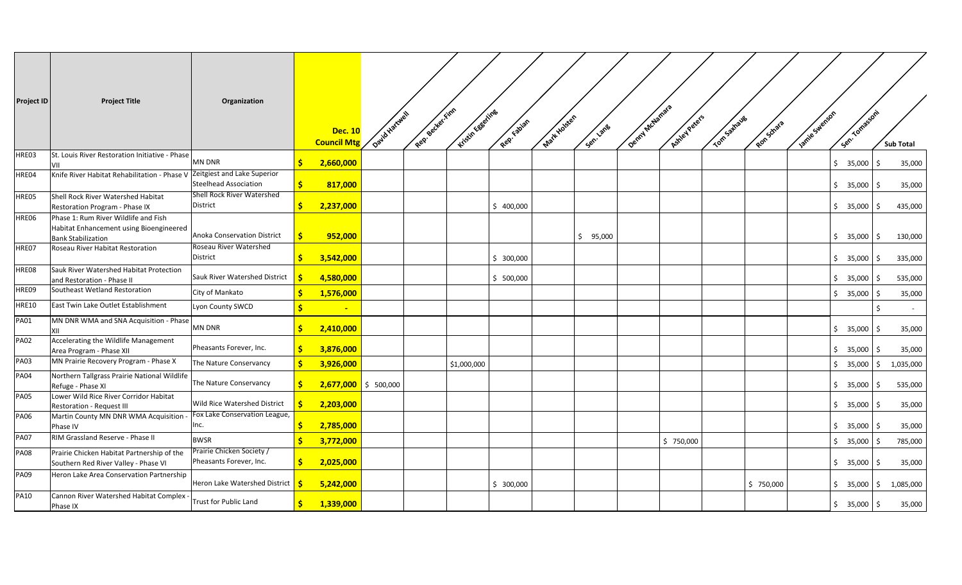| <b>Project ID</b> | <b>Project Title</b>                                                                                         | Organization                                         |     | <b>Dec. 10</b><br><b>Council Mtg</b> | David Hartwell | Recy Becker Finn | Kitsin Eggeling | Rep. tablan | Matt Holsten | Sen. ane | Denmy McJamara | Ashey Peters | Tom-samayes | Ron-Strata | lamite Swenson | Sen. Tomasson' |              | <b>Sub Total</b> |
|-------------------|--------------------------------------------------------------------------------------------------------------|------------------------------------------------------|-----|--------------------------------------|----------------|------------------|-----------------|-------------|--------------|----------|----------------|--------------|-------------|------------|----------------|----------------|--------------|------------------|
| HRE03             | St. Louis River Restoration Initiative - Phase<br>VII                                                        | MN DNR                                               | S.  | 2,660,000                            |                |                  |                 |             |              |          |                |              |             |            |                | \$35,000       | - Ś          | 35,000           |
| HRE04             | Knife River Habitat Rehabilitation - Phase V                                                                 | Zeitgiest and Lake Superior<br>Steelhead Association | S.  | 817,000                              |                |                  |                 |             |              |          |                |              |             |            |                | \$35,000       | ۱\$          | 35,000           |
| HRE05             | Shell Rock River Watershed Habitat<br>Restoration Program - Phase IX                                         | Shell Rock River Watershed<br>District               | S.  | 2,237,000                            |                |                  |                 | \$400,000   |              |          |                |              |             |            |                | \$35,000       | l \$         | 435,000          |
| HRE06             | Phase 1: Rum River Wildlife and Fish<br>Habitat Enhancement using Bioengineered<br><b>Bank Stabilization</b> | Anoka Conservation District                          | -Ś  | 952,000                              |                |                  |                 |             |              | \$95,000 |                |              |             |            |                | \$35,000       | -Ś           | 130,000          |
| HRE07             | Roseau River Habitat Restoration                                                                             | Roseau River Watershed<br>District                   | S.  | 3,542,000                            |                |                  |                 | \$300,000   |              |          |                |              |             |            |                | \$35,000       | -S           | 335,000          |
| HRE08             | Sauk River Watershed Habitat Protection<br>and Restoration - Phase II                                        | Sauk River Watershed District                        |     | 4,580,000                            |                |                  |                 | \$500,000   |              |          |                |              |             |            |                | \$35,000       | l \$         | 535,000          |
| HRE09             | Southeast Wetland Restoration                                                                                | City of Mankato                                      | -Ś  | 1,576,000                            |                |                  |                 |             |              |          |                |              |             |            |                | \$35,000       | l \$         | 35,000           |
| <b>HRE10</b>      | East Twin Lake Outlet Establishment                                                                          | Lyon County SWCD                                     |     | $\sim$                               |                |                  |                 |             |              |          |                |              |             |            |                |                | Ś.           |                  |
| <b>PA01</b>       | MN DNR WMA and SNA Acquisition - Phase<br>XII                                                                | MN DNR                                               | -S  | 2,410,000                            |                |                  |                 |             |              |          |                |              |             |            |                | \$35,000       | ۱Ś           | 35,000           |
| <b>PA02</b>       | Accelerating the Wildlife Management<br>Area Program - Phase XII                                             | Pheasants Forever, Inc.                              | Ŝ.  | 3,876,000                            |                |                  |                 |             |              |          |                |              |             |            |                | \$35,000       | -Ś           | 35,000           |
| PA03              | MN Prairie Recovery Program - Phase X                                                                        | The Nature Conservancy                               | S.  | 3,926,000                            |                |                  | \$1,000,000     |             |              |          |                |              |             |            |                | \$35,000       | l \$         | 1,035,000        |
| <b>PA04</b>       | Northern Tallgrass Prairie National Wildlife<br>Refuge - Phase XI                                            | The Nature Conservancy                               | -S  | $2,677,000$ \$ 500,000               |                |                  |                 |             |              |          |                |              |             |            |                | \$35,000       | - Ś          | 535,000          |
| <b>PA05</b>       | Lower Wild Rice River Corridor Habitat<br>Restoration - Request III                                          | Wild Rice Watershed District                         | -Ś. | 2,203,000                            |                |                  |                 |             |              |          |                |              |             |            |                | \$35,000       | -Ś           | 35,000           |
| <b>PA06</b>       | Martin County MN DNR WMA Acquisition<br>Phase IV                                                             | Fox Lake Conservation League,<br>Inc.                | -\$ | 2,785,000                            |                |                  |                 |             |              |          |                |              |             |            |                | \$35,000       | l \$         | 35,000           |
| <b>PA07</b>       | RIM Grassland Reserve - Phase II                                                                             | <b>BWSR</b>                                          | Ŝ.  | 3,772,000                            |                |                  |                 |             |              |          |                | \$750,000    |             |            |                | \$35,000       | l \$         | 785,000          |
| <b>PA08</b>       | Prairie Chicken Habitat Partnership of the<br>Southern Red River Valley - Phase VI                           | Prairie Chicken Society /<br>Pheasants Forever, Inc. | S.  | 2,025,000                            |                |                  |                 |             |              |          |                |              |             |            |                | \$35,000       | I\$          | 35,000           |
| <b>PA09</b>       | Heron Lake Area Conservation Partnership                                                                     | Heron Lake Watershed District   S                    |     | 5,242,000                            |                |                  |                 | \$300,000   |              |          |                |              |             | \$750,000  |                | \$35,000       | $\mathsf{S}$ | 1,085,000        |
| <b>PA10</b>       | Cannon River Watershed Habitat Complex -<br>Phase IX                                                         | Trust for Public Land                                | S.  | 1,339,000                            |                |                  |                 |             |              |          |                |              |             |            |                | \$35,000       | \$           | 35,000           |